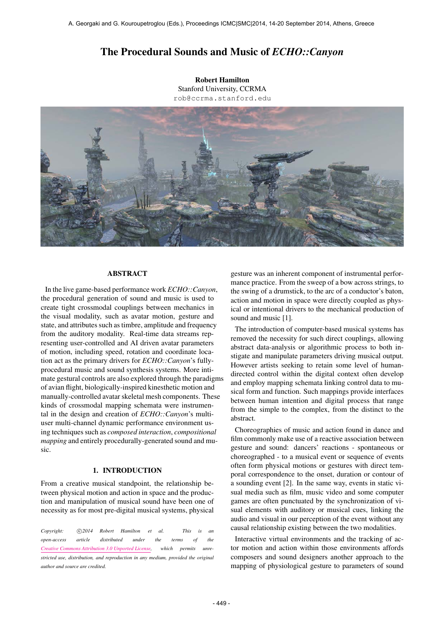# The Procedural Sounds and Music of *ECHO::Canyon*

Robert Hamilton Stanford University, CCRMA [rob@ccrma.stanford.edu](mailto:rob@ccrma.stanford.edu)



# ABSTRACT

In the live game-based performance work *ECHO::Canyon*, the procedural generation of sound and music is used to create tight crossmodal couplings between mechanics in the visual modality, such as avatar motion, gesture and state, and attributes such as timbre, amplitude and frequency from the auditory modality. Real-time data streams representing user-controlled and AI driven avatar parameters of motion, including speed, rotation and coordinate location act as the primary drivers for *ECHO::Canyon*'s fullyprocedural music and sound synthesis systems. More intimate gestural controls are also explored through the paradigms of avian flight, biologically-inspired kinesthetic motion and manually-controlled avatar skeletal mesh components. These kinds of crossmodal mapping schemata were instrumental in the design and creation of *ECHO::Canyon*'s multiuser multi-channel dynamic performance environment using techniques such as *composed interaction*, *compositional mapping* and entirely procedurally-generated sound and music.

### 1. INTRODUCTION

From a creative musical standpoint, the relationship between physical motion and action in space and the production and manipulation of musical sound have been one of necessity as for most pre-digital musical systems, physical

*Copyright:*  $\bigcirc$  2014 Robert Hamilton et al. This is an *open-access article distributed under the terms of the [Creative Commons Attribution 3.0 Unported License,](http://creativecommons.org/licenses/by/3.0/) which permits unrestricted use, distribution, and reproduction in any medium, provided the original author and source are credited.*

gesture was an inherent component of instrumental performance practice. From the sweep of a bow across strings, to the swing of a drumstick, to the arc of a conductor's baton, action and motion in space were directly coupled as physical or intentional drivers to the mechanical production of sound and music [1].

The introduction of computer-based musical systems has removed the necessity for such direct couplings, allowing abstract data-analysis or algorithmic process to both instigate and manipulate parameters driving musical output. However artists seeking to retain some level of humandirected control within the digital context often develop and employ mapping schemata linking control data to musical form and function. Such mappings provide interfaces between human intention and digital process that range from the simple to the complex, from the distinct to the abstract.

Choreographies of music and action found in dance and film commonly make use of a reactive association between gesture and sound: dancers' reactions - spontaneous or choreographed - to a musical event or sequence of events often form physical motions or gestures with direct temporal correspondence to the onset, duration or contour of a sounding event [2]. In the same way, events in static visual media such as film, music video and some computer games are often punctuated by the synchronization of visual elements with auditory or musical cues, linking the audio and visual in our perception of the event without any causal relationship existing between the two modalities.

Interactive virtual environments and the tracking of actor motion and action within those environments affords composers and sound designers another approach to the mapping of physiological gesture to parameters of sound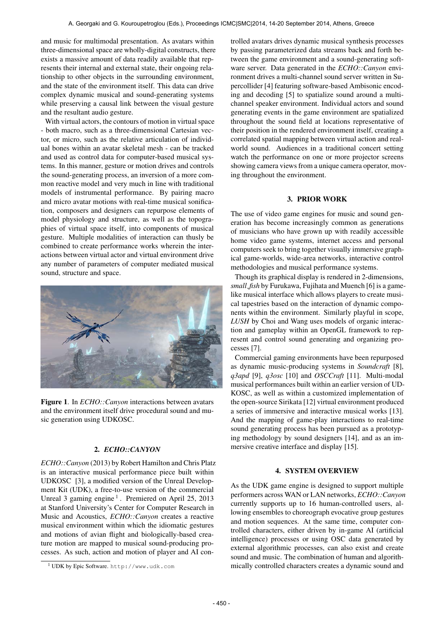and music for multimodal presentation. As avatars within three-dimensional space are wholly-digital constructs, there exists a massive amount of data readily available that represents their internal and external state, their ongoing relationship to other objects in the surrounding environment, and the state of the environment itself. This data can drive complex dynamic musical and sound-generating systems while preserving a causal link between the visual gesture and the resultant audio gesture.

With virtual actors, the contours of motion in virtual space - both macro, such as a three-dimensional Cartesian vector, or micro, such as the relative articulation of individual bones within an avatar skeletal mesh - can be tracked and used as control data for computer-based musical systems. In this manner, gesture or motion drives and controls the sound-generating process, an inversion of a more common reactive model and very much in line with traditional models of instrumental performance. By pairing macro and micro avatar motions with real-time musical sonification, composers and designers can repurpose elements of model physiology and structure, as well as the topographies of virtual space itself, into components of musical gesture. Multiple modalities of interaction can thusly be combined to create performance works wherein the interactions between virtual actor and virtual environment drive any number of parameters of computer mediated musical sound, structure and space.



Figure 1. In *ECHO::Canyon* interactions between avatars and the environment itself drive procedural sound and music generation using UDKOSC.

### 2. *ECHO::CANYON*

*ECHO::Canyon* (2013) by Robert Hamilton and Chris Platz is an interactive musical performance piece built within UDKOSC [3], a modified version of the Unreal Development Kit (UDK), a free-to-use version of the commercial Unreal 3 gaming engine<sup>1</sup>. Premiered on April 25, 2013 at Stanford University's Center for Computer Research in Music and Acoustics, *ECHO::Canyon* creates a reactive musical environment within which the idiomatic gestures and motions of avian flight and biologically-based creature motion are mapped to musical sound-producing processes. As such, action and motion of player and AI controlled avatars drives dynamic musical synthesis processes by passing parameterized data streams back and forth between the game environment and a sound-generating software server. Data generated in the *ECHO::Canyon* environment drives a multi-channel sound server written in Supercollider [4] featuring software-based Ambisonic encoding and decoding [5] to spatialize sound around a multichannel speaker environment. Individual actors and sound generating events in the game environment are spatialized throughout the sound field at locations representative of their position in the rendered environment itself, creating a correlated spatial mapping between virtual action and realworld sound. Audiences in a traditional concert setting watch the performance on one or more projector screens showing camera views from a unique camera operator, moving throughout the environment.

### 3. PRIOR WORK

The use of video game engines for music and sound generation has become increasingly common as generations of musicians who have grown up with readily accessible home video game systems, internet access and personal computers seek to bring together visually immersive graphical game-worlds, wide-area networks, interactive control methodologies and musical performance systems.

Though its graphical display is rendered in 2-dimensions, *small fish* by Furukawa, Fujihata and Muench [6] is a gamelike musical interface which allows players to create musical tapestries based on the interaction of dynamic components within the environment. Similarly playful in scope, *LUSH* by Choi and Wang uses models of organic interaction and gameplay within an OpenGL framework to represent and control sound generating and organizing processes [7].

Commercial gaming environments have been repurposed as dynamic music-producing systems in *Soundcraft* [8], *q3apd* [9], *q3osc* [10] and *OSCCraft* [11]. Multi-modal musical performances built within an earlier version of UD-KOSC, as well as within a customized implementation of the open-source Sirikata [12] virtual environment produced a series of immersive and interactive musical works [13]. And the mapping of game-play interactions to real-time sound generating process has been pursued as a prototyping methodology by sound designers [14], and as an immersive creative interface and display [15].

### 4. SYSTEM OVERVIEW

As the UDK game engine is designed to support multiple performers across WAN or LAN networks, *ECHO::Canyon* currently supports up to 16 human-controlled users, allowing ensembles to choreograph evocative group gestures and motion sequences. At the same time, computer controlled characters, either driven by in-game AI (artificial intelligence) processes or using OSC data generated by external algorithmic processes, can also exist and create sound and music. The combination of human and algorithmically controlled characters creates a dynamic sound and

<sup>1</sup> UDK by Epic Software. <http://www.udk.com>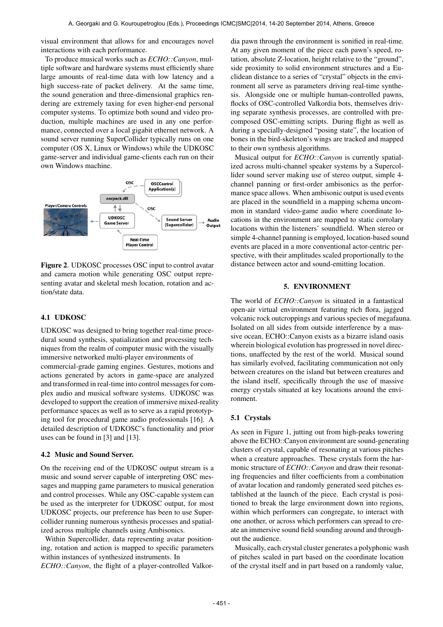visual environment that allows for and encourages novel interactions with each performance.

To produce musical works such as *ECHO::Canyon*, multiple software and hardware systems must efficiently share large amounts of real-time data with low latency and a high success-rate of packet delivery. At the same time, the sound generation and three-dimensional graphics rendering are extremely taxing for even higher-end personal computer systems. To optimize both sound and video production, multiple machines are used in any one performance, connected over a local gigabit ethernet network. A sound server running SuperCollider typically runs on one computer (OS X, Linux or Windows) while the UDKOSC game-server and individual game-clients each run on their own Windows machine.



Figure 2. UDKOSC processes OSC input to control avatar and camera motion while generating OSC output representing avatar and skeletal mesh location, rotation and action/state data.

### 4.1 UDKOSC

UDKOSC was designed to bring together real-time procedural sound synthesis, spatialization and processing techniques from the realm of computer music with the visually immersive networked multi-player environments of commercial-grade gaming engines. Gestures, motions and actions generated by actors in game-space are analyzed and transformed in real-time into control messages for complex audio and musical software systems. UDKOSC was developed to support the creation of immersive mixed-reality performance spaces as well as to serve as a rapid prototyping tool for procedural game audio professionals [16]. A detailed description of UDKOSC's functionality and prior uses can be found in [3] and [13].

### 4.2 Music and Sound Server.

On the receiving end of the UDKOSC output stream is a music and sound server capable of interpreting OSC messages and mapping game parameters to musical generation and control processes. While any OSC-capable system can be used as the interpreter for UDKOSC output, for most UDKOSC projects, our preference has been to use Supercollider running numerous synthesis processes and spatialized across multiple channels using Ambisonics.

Within Supercollider, data representing avatar positioning, rotation and action is mapped to specific parameters within instances of synthesized instruments. In *ECHO::Canyon*, the flight of a player-controlled Valkordia pawn through the environment is sonified in real-time. At any given moment of the piece each pawn's speed, rotation, absolute Z-location, height relative to the "ground", side proximity to solid environment structures and a Euclidean distance to a series of "crystal" objects in the environment all serve as parameters driving real-time synthesis. Alongside one or multiple human-controlled pawns, flocks of OSC-controlled Valkordia bots, themselves driving separate synthesis processes, are controlled with precomposed OSC-emitting scripts. During flight as well as during a specially-designed "posing state", the location of bones in the bird-skeleton's wings are tracked and mapped to their own synthesis algorithms.

Musical output for *ECHO::Canyon* is currently spatialized across multi-channel speaker systems by a Supercollider sound server making use of stereo output, simple 4 channel panning or first-order ambisonics as the performance space allows. When ambisonic output is used events are placed in the soundfield in a mapping schema uncommon in standard video-game audio where coordinate locations in the environment are mapped to static corrolary locations within the listeners' soundfield. When stereo or simple 4-channel panning is employed, location-based sound events are placed in a more conventional actor-centric perspective, with their amplitudes scaled proportionally to the distance between actor and sound-emitting location.

#### 5. ENVIRONMENT

The world of *ECHO::Canyon* is situated in a fantastical open-air virtual environment featuring rich flora, jagged volcanic rock outcroppings and various species of megafauna. Isolated on all sides from outside interference by a massive ocean, ECHO::Canyon exists as a bizarre island oasis wherein biological evolution has progressed in novel directions, unaffected by the rest of the world. Musical sound has similarly evolved, facilitating communication not only between creatures on the island but between creatures and the island itself, specifically through the use of massive energy crystals situated at key locations around the environment.

#### 5.1 Crystals

As seen in Figure 1, jutting out from high-peaks towering above the ECHO::Canyon environment are sound-generating clusters of crystal, capable of resonating at various pitches when a creature approaches. These crystals form the harmonic structure of *ECHO::Canyon* and draw their resonating frequencies and filter coefficients from a combination of avatar location and randomly generated seed pitches established at the launch of the piece. Each crystal is positioned to break the large environment down into regions, within which performers can congregate, to interact with one another, or across which performers can spread to create an immersive sound field sounding around and throughout the audience.

Musically, each crystal cluster generates a polyphonic wash of pitches scaled in part based on the coordinate location of the crystal itself and in part based on a randomly value,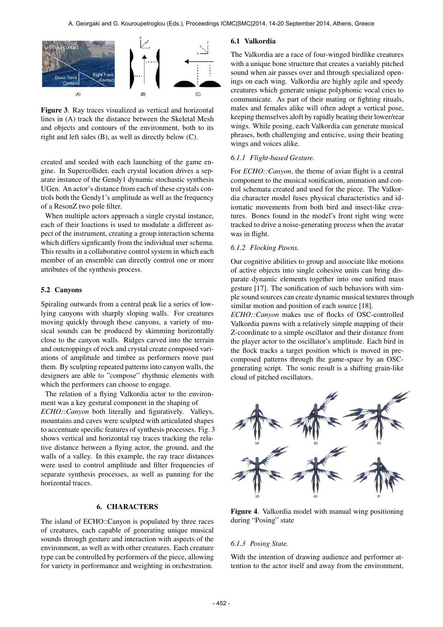

Figure 3. Ray traces visualized as vertical and horizontal lines in (A) track the distance between the Skeletal Mesh and objects and contours of the environment, both to its right and left sides (B), as well as directly below (C).

created and seeded with each launching of the game engine. In Supercollider, each crystal location drives a separate instance of the Gendy1 dynamic stochastic synthesis UGen. An actor's distance from each of these crystals controls both the Gendy1's amplitude as well as the frequency of a ResonZ two pole filter.

When multiple actors approach a single crystal instance, each of their loactions is used to modulate a different aspect of the instrument, creating a group interaction schema which differs signficantly from the individual user schema. This results in a collaborative control system in which each member of an ensemble can directly control one or more attributes of the synthesis process.

#### 5.2 Canyons

Spiraling outwards from a central peak lie a series of lowlying canyons with sharply sloping walls. For creatures moving quickly through these canyons, a variety of musical sounds can be produced by skimming horizontally close to the canyon walls. Ridges carved into the terrain and outcroppings of rock and crystal create composed variations of amplitude and timbre as performers move past them. By sculpting repeated patterns into canyon walls, the designers are able to "compose" rhythmic elements with which the performers can choose to engage.

The relation of a flying Valkordia actor to the environment was a key gestural component in the shaping of

*ECHO::Canyon* both literally and figuratively. Valleys, mountains and caves were sculpted with articulated shapes to accentuate specific features of synthesis processes. Fig. 3 shows vertical and horizontal ray traces tracking the relative distance between a flying actor, the ground, and the walls of a valley. In this example, the ray trace distances were used to control amplitude and filter frequencies of separate synthesis processes, as well as panning for the horizontal traces.

## 6. CHARACTERS

The island of ECHO::Canyon is populated by three races of creatures, each capable of generating unique musical sounds through gesture and interaction with aspects of the environment, as well as with other creatures. Each creature type can be controlled by performers of the piece, allowing for variety in performance and weighting in orchestration.

#### 6.1 Valkordia

The Valkordia are a race of four-winged birdlike creatures with a unique bone structure that creates a variably pitched sound when air passes over and through specialized openings on each wing. Valkordia are highly agile and speedy creatures which generate unique polyphonic vocal cries to communicate. As part of their mating or fighting rituals, males and females alike will often adopt a vertical pose, keeping themselves aloft by rapidly beating their lower/rear wings. While posing, each Valkordia can generate musical phrases, both challenging and enticive, using their beating wings and voices alike.

#### *6.1.1 Flight-based Gesture.*

For *ECHO::Canyon*, the theme of avian flight is a central component to the musical sonification, animation and control schemata created and used for the piece. The Valkordia character model fuses physical characteristics and idiomatic movements from both bird and insect-like creatures. Bones found in the model's front right wing were tracked to drive a noise-generating process when the avatar was in flight.

#### *6.1.2 Flocking Pawns.*

Our cognitive abilities to group and associate like motions of active objects into single cohesive units can bring disparate dynamic elements together into one unified mass gesture [17]. The sonification of such behaviors with simple sound sources can create dynamic musical textures through similar motion and position of each source [18].

*ECHO::Canyon* makes use of flocks of OSC-controlled Valkordia pawns with a relatively simple mapping of their Z-coordinate to a simple oscillator and their distance from the player actor to the oscillator's amplitude. Each bird in the flock tracks a target position which is moved in precomposed patterns through the game-space by an OSCgenerating script. The sonic result is a shifting grain-like cloud of pitched oscillators.



Figure 4. Valkordia model with manual wing positioning during "Posing" state

#### *6.1.3 Posing State.*

With the intention of drawing audience and performer attention to the actor itself and away from the environment,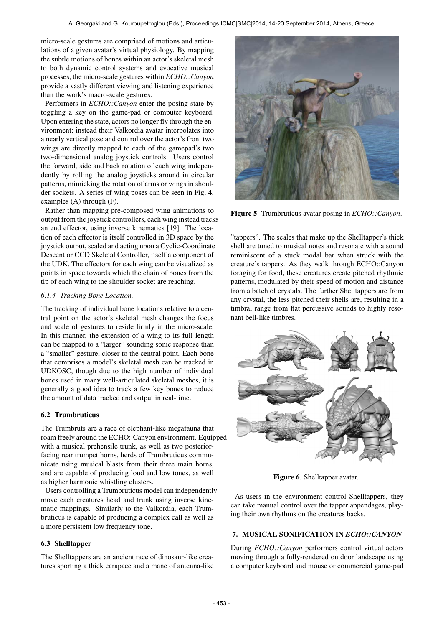micro-scale gestures are comprised of motions and articulations of a given avatar's virtual physiology. By mapping the subtle motions of bones within an actor's skeletal mesh to both dynamic control systems and evocative musical processes, the micro-scale gestures within *ECHO::Canyon* provide a vastly different viewing and listening experience than the work's macro-scale gestures.

Performers in *ECHO::Canyon* enter the posing state by toggling a key on the game-pad or computer keyboard. Upon entering the state, actors no longer fly through the environment; instead their Valkordia avatar interpolates into a nearly vertical pose and control over the actor's front two wings are directly mapped to each of the gamepad's two two-dimensional analog joystick controls. Users control the forward, side and back rotation of each wing independently by rolling the analog joysticks around in circular patterns, mimicking the rotation of arms or wings in shoulder sockets. A series of wing poses can be seen in Fig. 4, examples (A) through (F).

Rather than mapping pre-composed wing animations to output from the joystick controllers, each wing instead tracks an end effector, using inverse kinematics [19]. The location of each effector is itself controlled in 3D space by the joystick output, scaled and acting upon a Cyclic-Coordinate Descent or CCD Skeletal Controller, itself a component of the UDK. The effectors for each wing can be visualized as points in space towards which the chain of bones from the tip of each wing to the shoulder socket are reaching.

#### *6.1.4 Tracking Bone Location.*

The tracking of individual bone locations relative to a central point on the actor's skeletal mesh changes the focus and scale of gestures to reside firmly in the micro-scale. In this manner, the extension of a wing to its full length can be mapped to a "larger" sounding sonic response than a "smaller" gesture, closer to the central point. Each bone that comprises a model's skeletal mesh can be tracked in UDKOSC, though due to the high number of individual bones used in many well-articulated skeletal meshes, it is generally a good idea to track a few key bones to reduce the amount of data tracked and output in real-time.

### 6.2 Trumbruticus

The Trumbruts are a race of elephant-like megafauna that roam freely around the ECHO::Canyon environment. Equipped with a musical prehensile trunk, as well as two posteriorfacing rear trumpet horns, herds of Trumbruticus communicate using musical blasts from their three main horns, and are capable of producing loud and low tones, as well as higher harmonic whistling clusters.

Users controlling a Trumbruticus model can independently move each creatures head and trunk using inverse kinematic mappings. Similarly to the Valkordia, each Trumbruticus is capable of producing a complex call as well as a more persistent low frequency tone.

### 6.3 Shelltapper

The Shelltappers are an ancient race of dinosaur-like creatures sporting a thick carapace and a mane of antenna-like



Figure 5. Trumbruticus avatar posing in *ECHO::Canyon*.

"tappers". The scales that make up the Shelltapper's thick shell are tuned to musical notes and resonate with a sound reminiscent of a stuck modal bar when struck with the creature's tappers. As they walk through ECHO::Canyon foraging for food, these creatures create pitched rhythmic patterns, modulated by their speed of motion and distance from a batch of crystals. The further Shelltappers are from any crystal, the less pitched their shells are, resulting in a timbral range from flat percussive sounds to highly resonant bell-like timbres.



Figure 6. Shelltapper avatar.

As users in the environment control Shelltappers, they can take manual control over the tapper appendages, playing their own rhythms on the creatures backs.

### 7. MUSICAL SONIFICATION IN *ECHO::CANYON*

During *ECHO::Canyon* performers control virtual actors moving through a fully-rendered outdoor landscape using a computer keyboard and mouse or commercial game-pad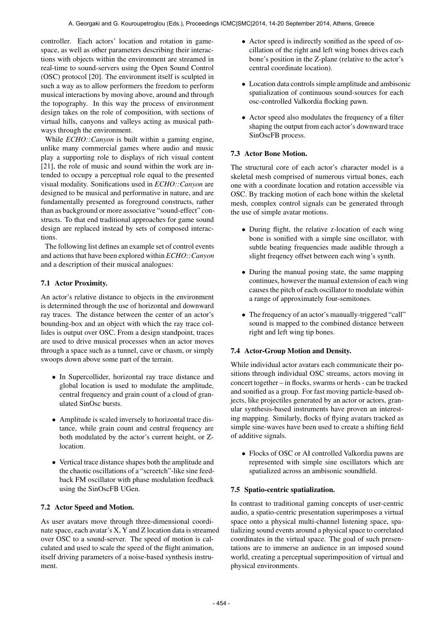controller. Each actors' location and rotation in gamespace, as well as other parameters describing their interactions with objects within the environment are streamed in real-time to sound-servers using the Open Sound Control (OSC) protocol [20]. The environment itself is sculpted in such a way as to allow performers the freedom to perform musical interactions by moving above, around and through the topography. In this way the process of environment design takes on the role of composition, with sections of virtual hills, canyons and valleys acting as musical pathways through the environment.

While *ECHO::Canyon* is built within a gaming engine, unlike many commercial games where audio and music play a supporting role to displays of rich visual content [21], the role of music and sound within the work are intended to occupy a perceptual role equal to the presented visual modality. Sonifications used in *ECHO::Canyon* are designed to be musical and performative in nature, and are fundamentally presented as foreground constructs, rather than as background or more associative "sound-effect" constructs. To that end traditional approaches for game sound design are replaced instead by sets of composed interactions.

The following list defines an example set of control events and actions that have been explored within *ECHO::Canyon* and a description of their musical analogues:

# 7.1 Actor Proximity.

An actor's relative distance to objects in the environment is determined through the use of horizontal and downward ray traces. The distance between the center of an actor's bounding-box and an object with which the ray trace collides is output over OSC. From a design standpoint, traces are used to drive musical processes when an actor moves through a space such as a tunnel, cave or chasm, or simply swoops down above some part of the terrain.

- In Supercollider, horizontal ray trace distance and global location is used to modulate the amplitude, central frequency and grain count of a cloud of granulated SinOsc bursts.
- Amplitude is scaled inversely to horizontal trace distance, while grain count and central frequency are both modulated by the actor's current height, or Zlocation.
- Vertical trace distance shapes both the amplitude and the chaotic oscillations of a "screetch"-like sine feedback FM oscillator with phase modulation feedback using the SinOscFB UGen.

# 7.2 Actor Speed and Motion.

As user avatars move through three-dimensional coordinate space, each avatar's X, Y and Z location data is streamed over OSC to a sound-server. The speed of motion is calculated and used to scale the speed of the flight animation, itself driving parameters of a noise-based synthesis instrument.

- Actor speed is indirectly sonified as the speed of oscillation of the right and left wing bones drives each bone's position in the Z-plane (relative to the actor's central coordinate location).
- Location data controls simple amplitude and ambisonic spatialization of continuous sound-sources for each osc-controlled Valkordia flocking pawn.
- Actor speed also modulates the frequency of a filter shaping the output from each actor's downward trace SinOscFB process.

# 7.3 Actor Bone Motion.

The structural core of each actor's character model is a skeletal mesh comprised of numerous virtual bones, each one with a coordinate location and rotation accessible via OSC. By tracking motion of each bone within the skeletal mesh, complex control signals can be generated through the use of simple avatar motions.

- During flight, the relative z-location of each wing bone is sonified with a simple sine oscillator, with subtle beating frequencies made audible through a slight freqency offset between each wing's synth.
- During the manual posing state, the same mapping continues, however the manual extension of each wing causes the pitch of each oscillator to modulate within a range of approximately four-semitones.
- The frequency of an actor's manually-triggered "call" sound is mapped to the combined distance between right and left wing tip bones.

# 7.4 Actor-Group Motion and Density.

While individual actor avatars each communicate their positions through individual OSC streams, actors moving in concert together – in flocks, swarms or herds - can be tracked and sonified as a group. For fast moving particle-based objects, like projectiles generated by an actor or actors, granular synthesis-based instruments have proven an interesting mapping. Similarly, flocks of flying avatars tracked as simple sine-waves have been used to create a shifting field of additive signals.

• Flocks of OSC or AI controlled Valkordia pawns are represented with simple sine oscillators which are spatialized across an ambisonic soundfield.

# 7.5 Spatio-centric spatialization.

In contrast to traditional gaming concepts of user-centric audio, a spatio-centric presentation superimposes a virtual space onto a physical multi-channel listening space, spatializing sound events around a physical space to correlated coordinates in the virtual space. The goal of such presentations are to immerse an audience in an imposed sound world, creating a perceptual superimposition of virtual and physical environments.